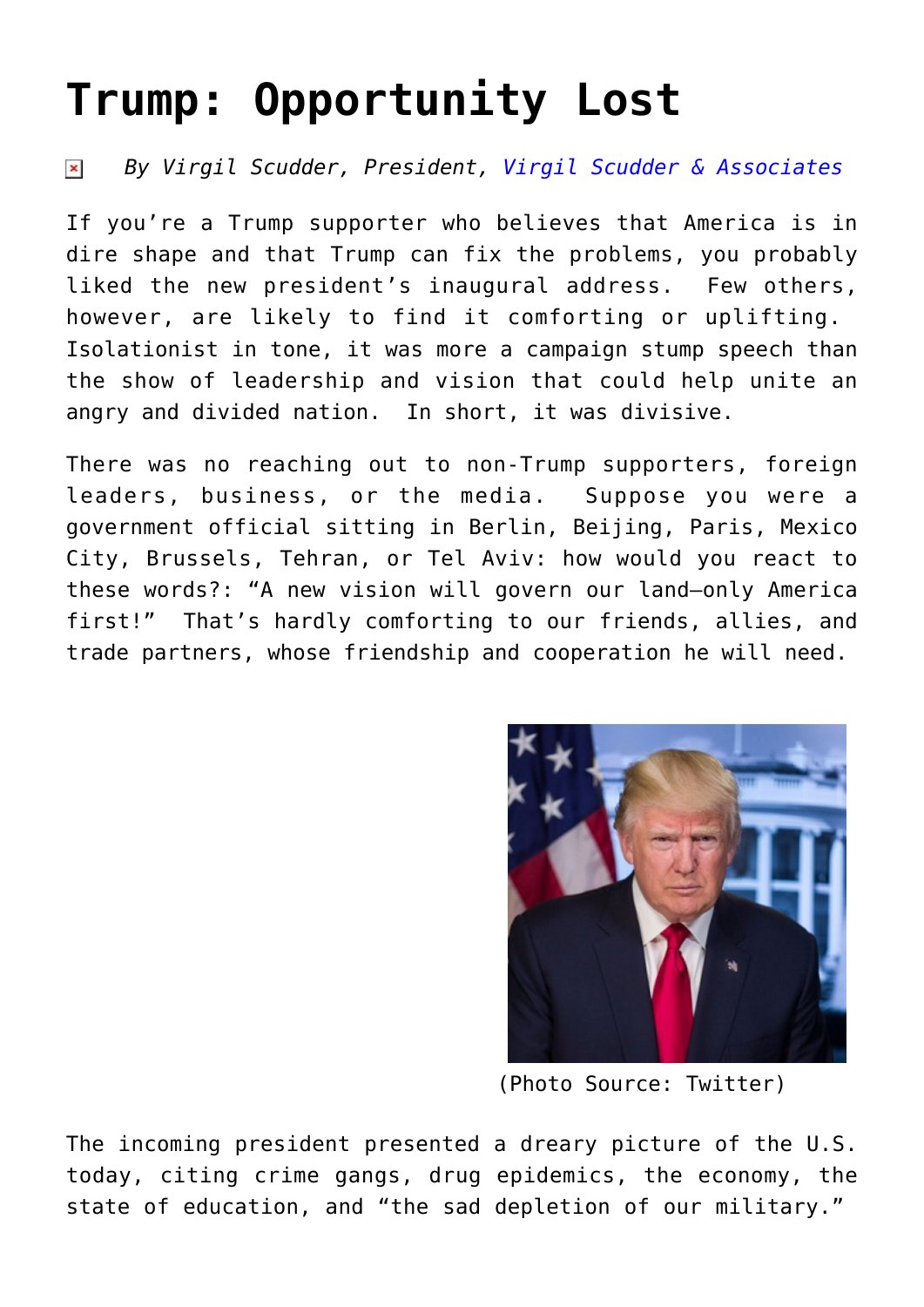## **[Trump: Opportunity Lost](https://www.commpro.biz/trump-opportunity-lost/)**

## *By Virgil Scudder, President, [Virgil Scudder & Associates](https://virgilscudder.com/)*  $\pmb{\times}$

If you're a Trump supporter who believes that America is in dire shape and that Trump can fix the problems, you probably liked the new president's inaugural address. Few others, however, are likely to find it comforting or uplifting. Isolationist in tone, it was more a campaign stump speech than the show of leadership and vision that could help unite an angry and divided nation. In short, it was divisive.

There was no reaching out to non-Trump supporters, foreign leaders, business, or the media. Suppose you were a government official sitting in Berlin, Beijing, Paris, Mexico City, Brussels, Tehran, or Tel Aviv: how would you react to these words?: "A new vision will govern our land—only America first!" That's hardly comforting to our friends, allies, and trade partners, whose friendship and cooperation he will need.



(Photo Source: Twitter)

The incoming president presented a dreary picture of the U.S. today, citing crime gangs, drug epidemics, the economy, the state of education, and "the sad depletion of our military."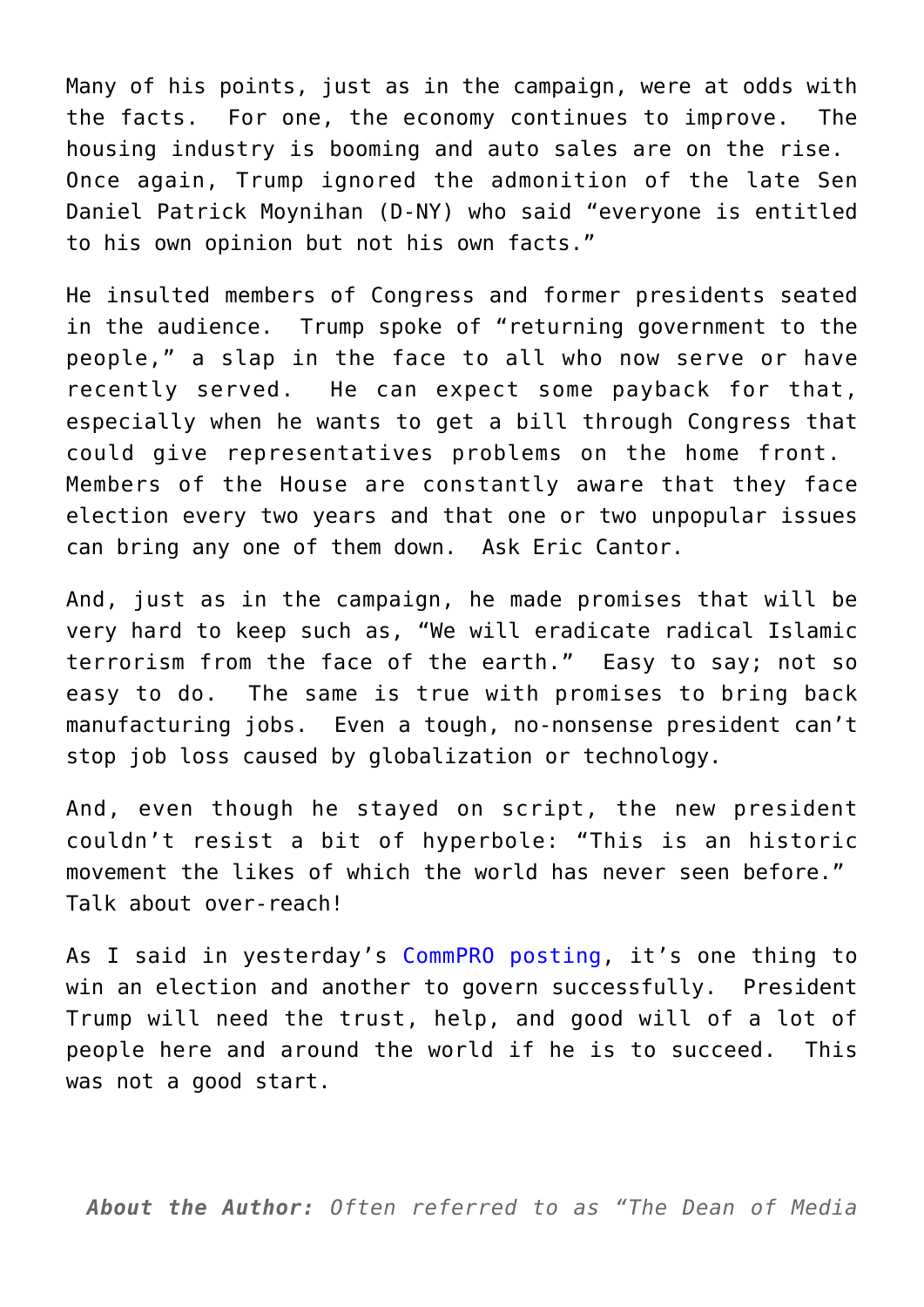Many of his points, just as in the campaign, were at odds with the facts. For one, the economy continues to improve. The housing industry is booming and auto sales are on the rise. Once again, Trump ignored the admonition of the late Sen Daniel Patrick Moynihan (D-NY) who said "everyone is entitled to his own opinion but not his own facts."

He insulted members of Congress and former presidents seated in the audience. Trump spoke of "returning government to the people," a slap in the face to all who now serve or have recently served. He can expect some payback for that, especially when he wants to get a bill through Congress that could give representatives problems on the home front. Members of the House are constantly aware that they face election every two years and that one or two unpopular issues can bring any one of them down. Ask Eric Cantor.

And, just as in the campaign, he made promises that will be very hard to keep such as, "We will eradicate radical Islamic terrorism from the face of the earth." Easy to say; not so easy to do. The same is true with promises to bring back manufacturing jobs. Even a tough, no-nonsense president can't stop job loss caused by globalization or technology.

And, even though he stayed on script, the new president couldn't resist a bit of hyperbole: "This is an historic movement the likes of which the world has never seen before." Talk about over-reach!

As I said in yesterday's [CommPRO posting](https://www.commpro.biz/trumps-big-test/), it's one thing to win an election and another to govern successfully. President Trump will need the trust, help, and good will of a lot of people here and around the world if he is to succeed. This was not a good start.

*About the Author: Often referred to as "The Dean of Media*